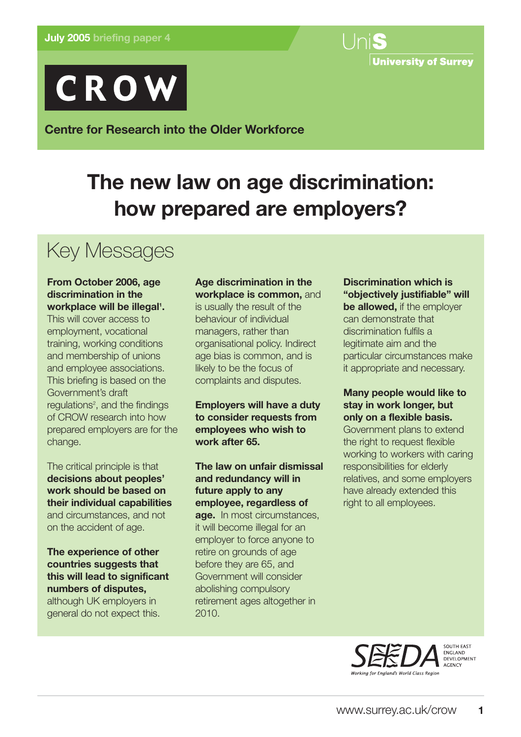



**Centre for Research into the Older Workforce**

# **The new law on age discrimination: how prepared are employers?**

# Key Messages

## **From October 2006, age discrimination in the** workplace will be illegal<sup>1</sup>.

This will cover access to employment, vocational training, working conditions and membership of unions and employee associations. This briefing is based on the Government's draft regulations<sup>2</sup>, and the findings of CROW research into how prepared employers are for the change.

The critical principle is that **decisions about peoples' work should be based on their individual capabilities** and circumstances, and not on the accident of age.

**The experience of other countries suggests that this will lead to significant numbers of disputes,** although UK employers in general do not expect this.

# **Age discrimination in the workplace is common,** and

is usually the result of the behaviour of individual managers, rather than organisational policy. Indirect age bias is common, and is likely to be the focus of complaints and disputes.

**Employers will have a duty to consider requests from employees who wish to work after 65.**

**The law on unfair dismissal and redundancy will in future apply to any employee, regardless of age.** In most circumstances, it will become illegal for an employer to force anyone to retire on grounds of age before they are 65, and Government will consider abolishing compulsory retirement ages altogether in 2010.

# **Discrimination which is "objectively justifiable" will be allowed,** if the employer can demonstrate that discrimination fulfils a legitimate aim and the particular circumstances make it appropriate and necessary.

# **Many people would like to stay in work longer, but only on a flexible basis.**

Government plans to extend the right to request flexible working to workers with caring responsibilities for elderly relatives, and some employers have already extended this right to all employees.



ENGLAND<br>DEVELOPMENT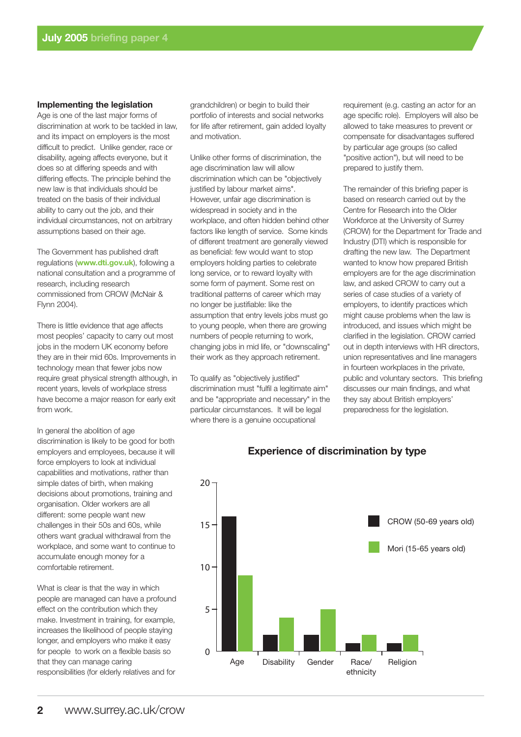#### **Implementing the legislation**

Age is one of the last major forms of discrimination at work to be tackled in law, and its impact on employers is the most difficult to predict. Unlike gender, race or disability, ageing affects everyone, but it does so at differing speeds and with differing effects. The principle behind the new law is that individuals should be treated on the basis of their individual ability to carry out the job, and their individual circumstances, not on arbitrary assumptions based on their age.

The Government has published draft regulations (**www.dti.gov.uk**), following a national consultation and a programme of research, including research commissioned from CROW (McNair & Flynn 2004).

There is little evidence that age affects most peoples' capacity to carry out most jobs in the modern UK economy before they are in their mid 60s. Improvements in technology mean that fewer jobs now require great physical strength although, in recent years, levels of workplace stress have become a major reason for early exit from work.

In general the abolition of age discrimination is likely to be good for both employers and employees, because it will force employers to look at individual capabilities and motivations, rather than simple dates of birth, when making decisions about promotions, training and organisation. Older workers are all different: some people want new challenges in their 50s and 60s, while others want gradual withdrawal from the workplace, and some want to continue to accumulate enough money for a comfortable retirement.

What is clear is that the way in which people are managed can have a profound effect on the contribution which they make. Investment in training, for example, increases the likelihood of people staying longer, and employers who make it easy for people to work on a flexible basis so that they can manage caring responsibilities (for elderly relatives and for

grandchildren) or begin to build their portfolio of interests and social networks for life after retirement, gain added loyalty and motivation.

Unlike other forms of discrimination, the age discrimination law will allow discrimination which can be "objectively justified by labour market aims". However, unfair age discrimination is widespread in society and in the workplace, and often hidden behind other factors like length of service. Some kinds of different treatment are generally viewed as beneficial: few would want to stop employers holding parties to celebrate long service, or to reward loyalty with some form of payment. Some rest on traditional patterns of career which may no longer be justifiable: like the assumption that entry levels jobs must go to young people, when there are growing numbers of people returning to work, changing jobs in mid life, or "downscaling" their work as they approach retirement.

To qualify as "objectively justified" discrimination must "fulfil a legitimate aim" and be "appropriate and necessary" in the particular circumstances. It will be legal where there is a genuine occupational

requirement (e.g. casting an actor for an age specific role). Employers will also be allowed to take measures to prevent or compensate for disadvantages suffered by particular age groups (so called "positive action"), but will need to be prepared to justify them.

The remainder of this briefing paper is based on research carried out by the Centre for Research into the Older Workforce at the University of Surrey (CROW) for the Department for Trade and Industry (DTI) which is responsible for drafting the new law. The Department wanted to know how prepared British employers are for the age discrimination law, and asked CROW to carry out a series of case studies of a variety of employers, to identify practices which might cause problems when the law is introduced, and issues which might be clarified in the legislation. CROW carried out in depth interviews with HR directors, union representatives and line managers in fourteen workplaces in the private, public and voluntary sectors. This briefing discusses our main findings, and what they say about British employers' preparedness for the legislation.



#### **Experience of discrimination by type**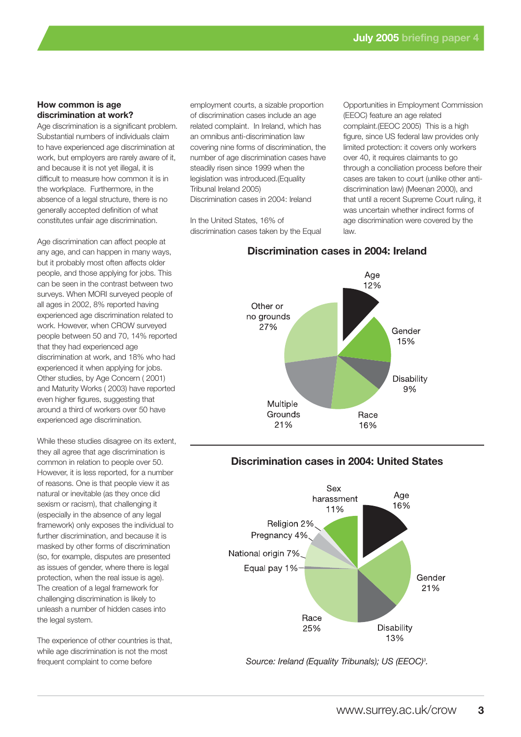#### **How common is age discrimination at work?**

Age discrimination is a significant problem. Substantial numbers of individuals claim to have experienced age discrimination at work, but employers are rarely aware of it, and because it is not yet illegal, it is difficult to measure how common it is in the workplace. Furthermore, in the absence of a legal structure, there is no generally accepted definition of what constitutes unfair age discrimination.

Age discrimination can affect people at any age, and can happen in many ways, but it probably most often affects older people, and those applying for jobs. This can be seen in the contrast between two surveys. When MORI surveyed people of all ages in 2002, 8% reported having experienced age discrimination related to work. However, when CROW surveyed people between 50 and 70, 14% reported that they had experienced age discrimination at work, and 18% who had experienced it when applying for jobs. Other studies, by Age Concern ( 2001) and Maturity Works ( 2003) have reported even higher figures, suggesting that around a third of workers over 50 have experienced age discrimination.

While these studies disagree on its extent, they all agree that age discrimination is common in relation to people over 50. However, it is less reported, for a number of reasons. One is that people view it as natural or inevitable (as they once did sexism or racism), that challenging it (especially in the absence of any legal framework) only exposes the individual to further discrimination, and because it is masked by other forms of discrimination (so, for example, disputes are presented as issues of gender, where there is legal protection, when the real issue is age). The creation of a legal framework for challenging discrimination is likely to unleash a number of hidden cases into the legal system.

The experience of other countries is that, while age discrimination is not the most frequent complaint to come before

employment courts, a sizable proportion of discrimination cases include an age related complaint. In Ireland, which has an omnibus anti-discrimination law covering nine forms of discrimination, the number of age discrimination cases have steadily risen since 1999 when the legislation was introduced.(Equality Tribunal Ireland 2005) Discrimination cases in 2004: Ireland

In the United States, 16% of discrimination cases taken by the Equal

Opportunities in Employment Commission (EEOC) feature an age related complaint.(EEOC 2005) This is a high figure, since US federal law provides only limited protection: it covers only workers over 40, it requires claimants to go through a conciliation process before their cases are taken to court (unlike other antidiscrimination law) (Meenan 2000), and that until a recent Supreme Court ruling, it was uncertain whether indirect forms of age discrimination were covered by the law.

## **Discrimination cases in 2004: Ireland**



### **Discrimination cases in 2004: United States**



*Source: Ireland (Equality Tribunals); US (EEOC)3 .*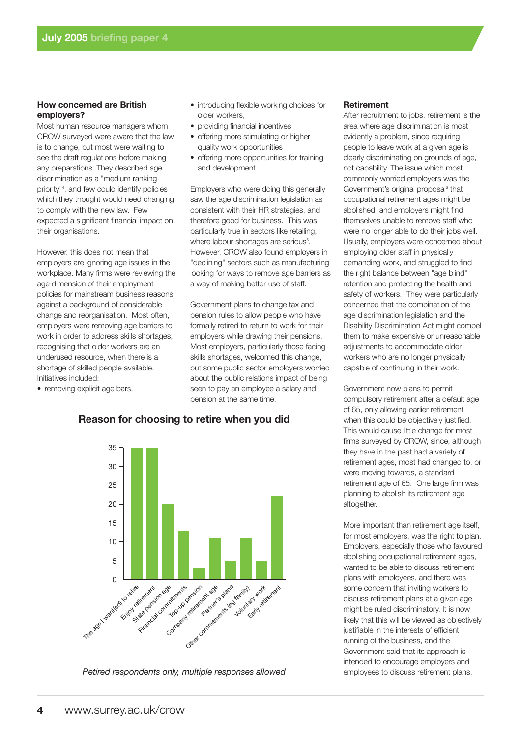#### **How concerned are British employers?**

Most human resource managers whom CROW surveyed were aware that the law is to change, but most were waiting to see the draft regulations before making any preparations. They described age discrimination as a "medium ranking priority"4 , and few could identify policies which they thought would need changing to comply with the new law. Few expected a significant financial impact on their organisations.

However, this does not mean that employers are ignoring age issues in the workplace. Many firms were reviewing the age dimension of their employment policies for mainstream business reasons, against a background of considerable change and reorganisation. Most often, employers were removing age barriers to work in order to address skills shortages, recognising that older workers are an underused resource, when there is a shortage of skilled people available. Initiatives included:

• removing explicit age bars,

- introducing flexible working choices for older workers,
- providing financial incentives
- offering more stimulating or higher quality work opportunities
- offering more opportunities for training and development.

Employers who were doing this generally saw the age discrimination legislation as consistent with their HR strategies, and therefore good for business. This was particularly true in sectors like retailing, where labour shortages are serious<sup>5</sup>. However, CROW also found employers in "declining" sectors such as manufacturing looking for ways to remove age barriers as a way of making better use of staff.

Government plans to change tax and pension rules to allow people who have formally retired to return to work for their employers while drawing their pensions. Most employers, particularly those facing skills shortages, welcomed this change, but some public sector employers worried about the public relations impact of being seen to pay an employee a salary and pension at the same time.

#### **Retirement**

After recruitment to jobs, retirement is the area where age discrimination is most evidently a problem, since requiring people to leave work at a given age is clearly discriminating on grounds of age, not capability. The issue which most commonly worried employers was the Government's original proposal<sup>6</sup> that occupational retirement ages might be abolished, and employers might find themselves unable to remove staff who were no longer able to do their jobs well. Usually, employers were concerned about employing older staff in physically demanding work, and struggled to find the right balance between "age blind" retention and protecting the health and safety of workers. They were particularly concerned that the combination of the age discrimination legislation and the Disability Discrimination Act might compel them to make expensive or unreasonable adjustments to accommodate older workers who are no longer physically capable of continuing in their work.

Government now plans to permit compulsory retirement after a default age of 65, only allowing earlier retirement when this could be objectively justified. This would cause little change for most firms surveyed by CROW, since, although they have in the past had a variety of retirement ages, most had changed to, or were moving towards, a standard retirement age of 65. One large firm was planning to abolish its retirement age altogether.

More important than retirement age itself, for most employers, was the right to plan. Employers, especially those who favoured abolishing occupational retirement ages, wanted to be able to discuss retirement plans with employees, and there was some concern that inviting workers to discuss retirement plans at a given age might be ruled discriminatory. It is now likely that this will be viewed as objectively justifiable in the interests of efficient running of the business, and the Government said that its approach is intended to encourage employers and employees to discuss retirement plans.



#### **Reason for choosing to retire when you did**

*Retired respondents only, multiple responses allowed*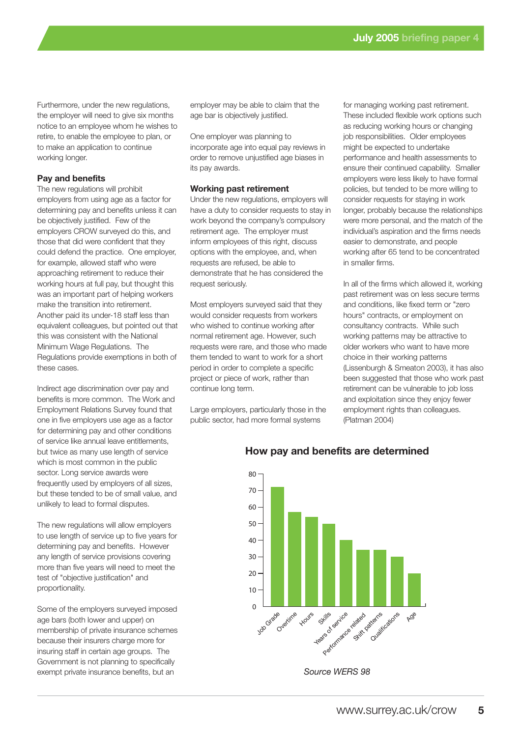Furthermore, under the new regulations, the employer will need to give six months notice to an employee whom he wishes to retire, to enable the employee to plan, or to make an application to continue working longer.

#### **Pay and benefits**

The new regulations will prohibit employers from using age as a factor for determining pay and benefits unless it can be objectively justified. Few of the employers CROW surveyed do this, and those that did were confident that they could defend the practice. One employer, for example, allowed staff who were approaching retirement to reduce their working hours at full pay, but thought this was an important part of helping workers make the transition into retirement. Another paid its under-18 staff less than equivalent colleagues, but pointed out that this was consistent with the National Minimum Wage Regulations. The Regulations provide exemptions in both of these cases.

Indirect age discrimination over pay and benefits is more common. The Work and Employment Relations Survey found that one in five employers use age as a factor for determining pay and other conditions of service like annual leave entitlements, but twice as many use length of service which is most common in the public sector. Long service awards were frequently used by employers of all sizes, but these tended to be of small value, and unlikely to lead to formal disputes.

The new regulations will allow employers to use length of service up to five years for determining pay and benefits. However any length of service provisions covering more than five years will need to meet the test of "objective justification" and proportionality.

Some of the employers surveyed imposed age bars (both lower and upper) on membership of private insurance schemes because their insurers charge more for insuring staff in certain age groups. The Government is not planning to specifically exempt private insurance benefits, but an

employer may be able to claim that the age bar is objectively justified.

One employer was planning to incorporate age into equal pay reviews in order to remove unjustified age biases in its pay awards.

#### **Working past retirement**

Under the new regulations, employers will have a duty to consider requests to stay in work beyond the company's compulsory retirement age. The employer must inform employees of this right, discuss options with the employee, and, when requests are refused, be able to demonstrate that he has considered the request seriously.

Most employers surveyed said that they would consider requests from workers who wished to continue working after normal retirement age. However, such requests were rare, and those who made them tended to want to work for a short period in order to complete a specific project or piece of work, rather than continue long term.

Large employers, particularly those in the public sector, had more formal systems

for managing working past retirement. These included flexible work options such as reducing working hours or changing job responsibilities. Older employees might be expected to undertake performance and health assessments to ensure their continued capability. Smaller employers were less likely to have formal policies, but tended to be more willing to consider requests for staying in work longer, probably because the relationships were more personal, and the match of the individual's aspiration and the firms needs easier to demonstrate, and people working after 65 tend to be concentrated in smaller firms.

In all of the firms which allowed it, working past retirement was on less secure terms and conditions, like fixed term or "zero hours" contracts, or employment on consultancy contracts. While such working patterns may be attractive to older workers who want to have more choice in their working patterns (Lissenburgh & Smeaton 2003), it has also been suggested that those who work past retirement can be vulnerable to job loss and exploitation since they enjoy fewer employment rights than colleagues. (Platman 2004)



### **How pay and benefits are determined**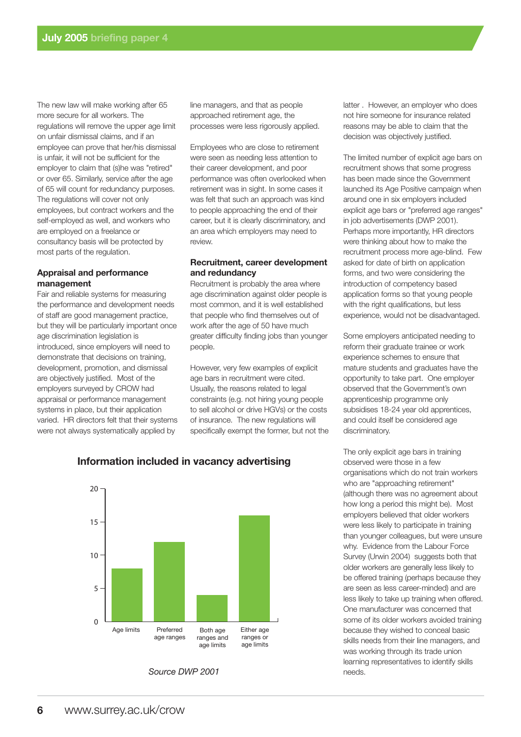The new law will make working after 65 more secure for all workers. The regulations will remove the upper age limit on unfair dismissal claims, and if an employee can prove that her/his dismissal is unfair, it will not be sufficient for the employer to claim that (s)he was "retired" or over 65. Similarly, service after the age of 65 will count for redundancy purposes. The regulations will cover not only employees, but contract workers and the self-employed as well, and workers who are employed on a freelance or consultancy basis will be protected by most parts of the regulation.

#### **Appraisal and performance management**

Fair and reliable systems for measuring the performance and development needs of staff are good management practice, but they will be particularly important once age discrimination legislation is introduced, since employers will need to demonstrate that decisions on training, development, promotion, and dismissal are objectively justified. Most of the employers surveyed by CROW had appraisal or performance management systems in place, but their application varied. HR directors felt that their systems were not always systematically applied by

line managers, and that as people approached retirement age, the processes were less rigorously applied.

Employees who are close to retirement were seen as needing less attention to their career development, and poor performance was often overlooked when retirement was in sight. In some cases it was felt that such an approach was kind to people approaching the end of their career, but it is clearly discriminatory, and an area which employers may need to review.

#### **Recruitment, career development and redundancy**

Recruitment is probably the area where age discrimination against older people is most common, and it is well established that people who find themselves out of work after the age of 50 have much greater difficulty finding jobs than younger people.

However, very few examples of explicit age bars in recruitment were cited. Usually, the reasons related to legal constraints (e.g. not hiring young people to sell alcohol or drive HGVs) or the costs of insurance. The new regulations will specifically exempt the former, but not the latter . However, an employer who does not hire someone for insurance related reasons may be able to claim that the decision was objectively justified.

The limited number of explicit age bars on recruitment shows that some progress has been made since the Government launched its Age Positive campaign when around one in six employers included explicit age bars or "preferred age ranges" in job advertisements (DWP 2001). Perhaps more importantly, HR directors were thinking about how to make the recruitment process more age-blind. Few asked for date of birth on application forms, and two were considering the introduction of competency based application forms so that young people with the right qualifications, but less experience, would not be disadvantaged.

Some employers anticipated needing to reform their graduate trainee or work experience schemes to ensure that mature students and graduates have the opportunity to take part. One employer observed that the Government's own apprenticeship programme only subsidises 18-24 year old apprentices, and could itself be considered age discriminatory.

The only explicit age bars in training observed were those in a few organisations which do not train workers who are "approaching retirement" (although there was no agreement about how long a period this might be). Most employers believed that older workers were less likely to participate in training than younger colleagues, but were unsure why. Evidence from the Labour Force Survey (Urwin 2004) suggests both that older workers are generally less likely to be offered training (perhaps because they are seen as less career-minded) and are less likely to take up training when offered. One manufacturer was concerned that some of its older workers avoided training because they wished to conceal basic skills needs from their line managers, and was working through its trade union learning representatives to identify skills needs.



# **Information included in vacancy advertising**

*Source DWP 2001*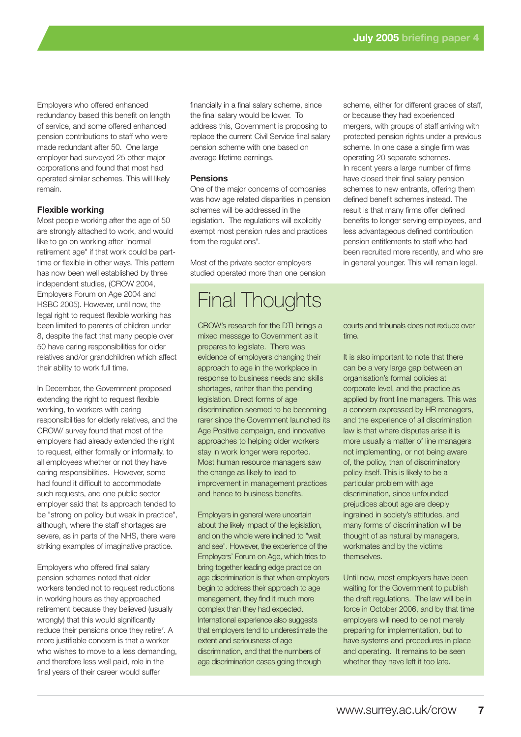Employers who offered enhanced redundancy based this benefit on length of service, and some offered enhanced pension contributions to staff who were made redundant after 50. One large employer had surveyed 25 other major corporations and found that most had operated similar schemes. This will likely remain.

#### **Flexible working**

Most people working after the age of 50 are strongly attached to work, and would like to go on working after "normal retirement age" if that work could be parttime or flexible in other ways. This pattern has now been well established by three independent studies, (CROW 2004, Employers Forum on Age 2004 and HSBC 2005). However, until now, the legal right to request flexible working has been limited to parents of children under 8, despite the fact that many people over 50 have caring responsibilities for older relatives and/or grandchildren which affect their ability to work full time.

In December, the Government proposed extending the right to request flexible working, to workers with caring responsibilities for elderly relatives, and the CROW/ survey found that most of the employers had already extended the right to request, either formally or informally, to all employees whether or not they have caring responsibilities. However, some had found it difficult to accommodate such requests, and one public sector employer said that its approach tended to be "strong on policy but weak in practice", although, where the staff shortages are severe, as in parts of the NHS, there were striking examples of imaginative practice.

Employers who offered final salary pension schemes noted that older workers tended not to request reductions in working hours as they approached retirement because they believed (usually wrongly) that this would significantly reduce their pensions once they retire<sup>7</sup>. A more justifiable concern is that a worker who wishes to move to a less demanding, and therefore less well paid, role in the final years of their career would suffer

financially in a final salary scheme, since the final salary would be lower. To address this, Government is proposing to replace the current Civil Service final salary pension scheme with one based on average lifetime earnings.

#### **Pensions**

One of the major concerns of companies was how age related disparities in pension schemes will be addressed in the legislation. The regulations will explicitly exempt most pension rules and practices from the regulations<sup>8</sup>.

Most of the private sector employers studied operated more than one pension

# Final Thoughts

CROW's research for the DTI brings a mixed message to Government as it prepares to legislate. There was evidence of employers changing their approach to age in the workplace in response to business needs and skills shortages, rather than the pending legislation. Direct forms of age discrimination seemed to be becoming rarer since the Government launched its Age Positive campaign, and innovative approaches to helping older workers stay in work longer were reported. Most human resource managers saw the change as likely to lead to improvement in management practices and hence to business benefits.

Employers in general were uncertain about the likely impact of the legislation, and on the whole were inclined to "wait and see". However, the experience of the Employers' Forum on Age, which tries to bring together leading edge practice on age discrimination is that when employers begin to address their approach to age management, they find it much more complex than they had expected. International experience also suggests that employers tend to underestimate the extent and seriousness of age discrimination, and that the numbers of age discrimination cases going through

scheme, either for different grades of staff. or because they had experienced mergers, with groups of staff arriving with protected pension rights under a previous scheme. In one case a single firm was operating 20 separate schemes. In recent years a large number of firms have closed their final salary pension schemes to new entrants, offering them defined benefit schemes instead. The result is that many firms offer defined benefits to longer serving employees, and less advantageous defined contribution pension entitlements to staff who had been recruited more recently, and who are in general younger. This will remain legal.

courts and tribunals does not reduce over time.

It is also important to note that there can be a very large gap between an organisation's formal policies at corporate level, and the practice as applied by front line managers. This was a concern expressed by HR managers, and the experience of all discrimination law is that where disputes arise it is more usually a matter of line managers not implementing, or not being aware of, the policy, than of discriminatory policy itself. This is likely to be a particular problem with age discrimination, since unfounded prejudices about age are deeply ingrained in society's attitudes, and many forms of discrimination will be thought of as natural by managers, workmates and by the victims themselves.

Until now, most employers have been waiting for the Government to publish the draft regulations. The law will be in force in October 2006, and by that time employers will need to be not merely preparing for implementation, but to have systems and procedures in place and operating. It remains to be seen whether they have left it too late.